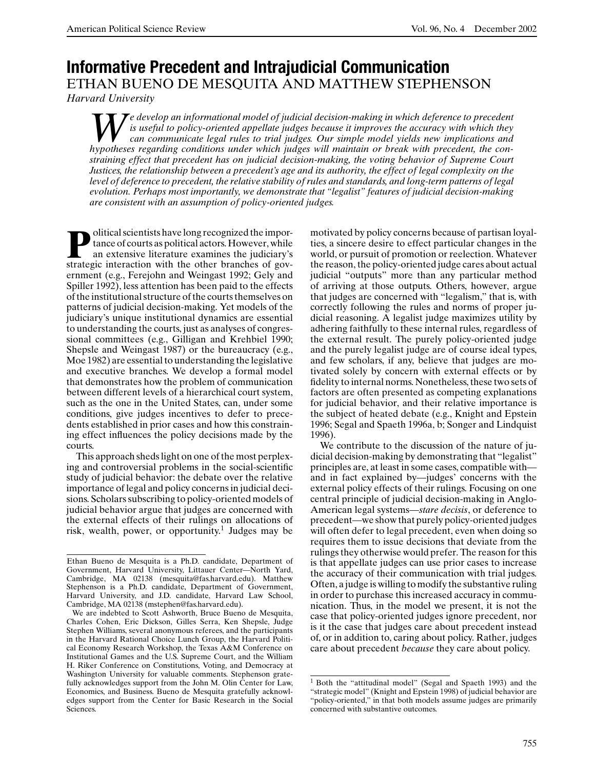# **Informative Precedent and Intrajudicial Communication** ETHAN BUENO DE MESQUITA AND MATTHEW STEPHENSON

*Harvard University*

*We develop an informational model of judicial decision-making in which deference to precedent is useful to policy-oriented appellate judges because it improves the accuracy with which they can communicate legal rules to trial judges. Our simple model yields new implications and hypotheses regarding conditions under which judges will maintain or break with precedent, the constraining effect that precedent has on judicial decision-making, the voting behavior of Supreme Court Justices, the relationship between a precedent's age and its authority, the effect of legal complexity on the level of deference to precedent, the relative stability of rules and standards, and long-term patterns of legal evolution. Perhaps most importantly, we demonstrate that "legalist" features of judicial decision-making are consistent with an assumption of policy-oriented judges.*

**Political scientists have long recognized the importance of courts as political actors. However, while an extensive literature examines the judiciary's strategic interaction with the other branches of gov**tance of courts as political actors. However, while an extensive literature examines the judiciary's strategic interaction with the other branches of government (e.g., Ferejohn and Weingast 1992; Gely and Spiller 1992), less attention has been paid to the effects of the institutional structure of the courts themselves on patterns of judicial decision-making. Yet models of the judiciary's unique institutional dynamics are essential to understanding the courts, just as analyses of congressional committees (e.g., Gilligan and Krehbiel 1990; Shepsle and Weingast 1987) or the bureaucracy (e.g., Moe 1982) are essential to understanding the legislative and executive branches. We develop a formal model that demonstrates how the problem of communication between different levels of a hierarchical court system, such as the one in the United States, can, under some conditions, give judges incentives to defer to precedents established in prior cases and how this constraining effect influences the policy decisions made by the courts.

This approach sheds light on one of the most perplexing and controversial problems in the social-scientific study of judicial behavior: the debate over the relative importance of legal and policy concerns in judicial decisions. Scholars subscribing to policy-oriented models of judicial behavior argue that judges are concerned with the external effects of their rulings on allocations of risk, wealth, power, or opportunity.<sup>1</sup> Judges may be

motivated by policy concerns because of partisan loyalties, a sincere desire to effect particular changes in the world, or pursuit of promotion or reelection. Whatever the reason, the policy-oriented judge cares about actual judicial "outputs" more than any particular method of arriving at those outputs. Others, however, argue that judges are concerned with "legalism," that is, with correctly following the rules and norms of proper judicial reasoning. A legalist judge maximizes utility by adhering faithfully to these internal rules, regardless of the external result. The purely policy-oriented judge and the purely legalist judge are of course ideal types, and few scholars, if any, believe that judges are motivated solely by concern with external effects or by fidelity to internal norms. Nonetheless, these two sets of factors are often presented as competing explanations for judicial behavior, and their relative importance is the subject of heated debate (e.g., Knight and Epstein 1996; Segal and Spaeth 1996a, b; Songer and Lindquist 1996).

We contribute to the discussion of the nature of judicial decision-making by demonstrating that "legalist" principles are, at least in some cases, compatible with and in fact explained by—judges' concerns with the external policy effects of their rulings. Focusing on one central principle of judicial decision-making in Anglo-American legal systems—*stare decisis*, or deference to precedent—we show that purely policy-oriented judges will often defer to legal precedent, even when doing so requires them to issue decisions that deviate from the rulings they otherwise would prefer. The reason for this is that appellate judges can use prior cases to increase the accuracy of their communication with trial judges. Often, a judge is willing to modify the substantive ruling in order to purchase this increased accuracy in communication. Thus, in the model we present, it is not the case that policy-oriented judges ignore precedent, nor is it the case that judges care about precedent instead of, or in addition to, caring about policy. Rather, judges care about precedent *because* they care about policy.

Ethan Bueno de Mesquita is a Ph.D. candidate, Department of Government, Harvard University, Littauer Center—North Yard, Cambridge, MA 02138 (mesquita@fas.harvard.edu). Matthew Stephenson is a Ph.D. candidate, Department of Government, Harvard University, and J.D. candidate, Harvard Law School, Cambridge, MA 02138 (mstephen@fas.harvard.edu).

We are indebted to Scott Ashworth, Bruce Bueno de Mesquita, Charles Cohen, Eric Dickson, Gilles Serra, Ken Shepsle, Judge Stephen Williams, several anonymous referees, and the participants in the Harvard Rational Choice Lunch Group, the Harvard Political Economy Research Workshop, the Texas A&M Conference on Institutional Games and the U.S. Supreme Court, and the William H. Riker Conference on Constitutions, Voting, and Democracy at Washington University for valuable comments. Stephenson gratefully acknowledges support from the John M. Olin Center for Law, Economics, and Business. Bueno de Mesquita gratefully acknowledges support from the Center for Basic Research in the Social **Sciences** 

<sup>&</sup>lt;sup>1</sup> Both the "attitudinal model" (Segal and Spaeth 1993) and the "strategic model" (Knight and Epstein 1998) of judicial behavior are "policy-oriented," in that both models assume judges are primarily concerned with substantive outcomes.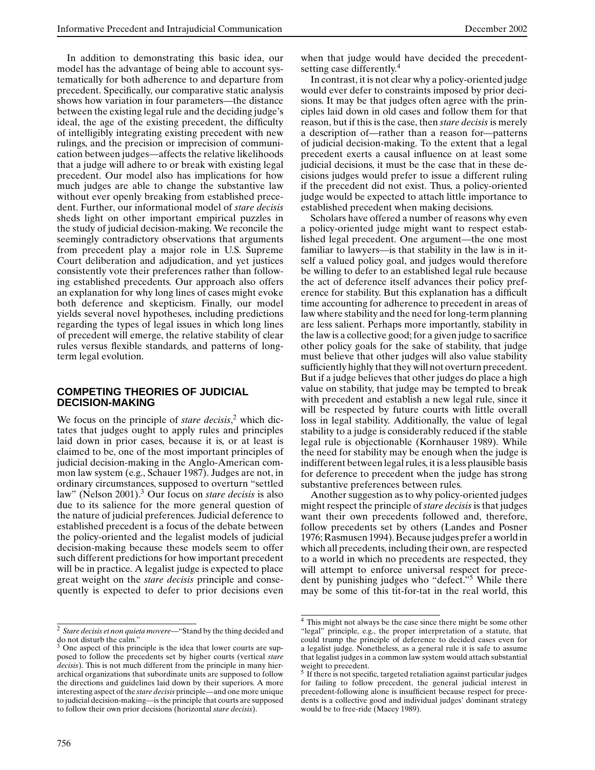In addition to demonstrating this basic idea, our model has the advantage of being able to account systematically for both adherence to and departure from precedent. Specifically, our comparative static analysis shows how variation in four parameters—the distance between the existing legal rule and the deciding judge's ideal, the age of the existing precedent, the difficulty of intelligibly integrating existing precedent with new rulings, and the precision or imprecision of communication between judges—affects the relative likelihoods that a judge will adhere to or break with existing legal precedent. Our model also has implications for how much judges are able to change the substantive law without ever openly breaking from established precedent. Further, our informational model of *stare decisis* sheds light on other important empirical puzzles in the study of judicial decision-making. We reconcile the seemingly contradictory observations that arguments from precedent play a major role in U.S. Supreme Court deliberation and adjudication, and yet justices consistently vote their preferences rather than following established precedents. Our approach also offers an explanation for why long lines of cases might evoke both deference and skepticism. Finally, our model yields several novel hypotheses, including predictions regarding the types of legal issues in which long lines of precedent will emerge, the relative stability of clear rules versus flexible standards, and patterns of longterm legal evolution.

#### **COMPETING THEORIES OF JUDICIAL DECISION-MAKING**

We focus on the principle of *stare decisis*, <sup>2</sup> which dictates that judges ought to apply rules and principles laid down in prior cases, because it is, or at least is claimed to be, one of the most important principles of judicial decision-making in the Anglo-American common law system (e.g., Schauer 1987). Judges are not, in ordinary circumstances, supposed to overturn "settled law" (Nelson 2001).<sup>3</sup> Our focus on *stare decisis* is also due to its salience for the more general question of the nature of judicial preferences. Judicial deference to established precedent is a focus of the debate between the policy-oriented and the legalist models of judicial decision-making because these models seem to offer such different predictions for how important precedent will be in practice. A legalist judge is expected to place great weight on the *stare decisis* principle and consequently is expected to defer to prior decisions even when that judge would have decided the precedentsetting case differently.<sup>4</sup>

In contrast, it is not clear why a policy-oriented judge would ever defer to constraints imposed by prior decisions. It may be that judges often agree with the principles laid down in old cases and follow them for that reason, but if this is the case, then *stare decisis* is merely a description of—rather than a reason for—patterns of judicial decision-making. To the extent that a legal precedent exerts a causal influence on at least some judicial decisions, it must be the case that in these decisions judges would prefer to issue a different ruling if the precedent did not exist. Thus, a policy-oriented judge would be expected to attach little importance to established precedent when making decisions.

Scholars have offered a number of reasons why even a policy-oriented judge might want to respect established legal precedent. One argument—the one most familiar to lawyers—is that stability in the law is in itself a valued policy goal, and judges would therefore be willing to defer to an established legal rule because the act of deference itself advances their policy preference for stability. But this explanation has a difficult time accounting for adherence to precedent in areas of law where stability and the need for long-term planning are less salient. Perhaps more importantly, stability in the law is a collective good; for a given judge to sacrifice other policy goals for the sake of stability, that judge must believe that other judges will also value stability sufficiently highly that they will not overturn precedent. But if a judge believes that other judges do place a high value on stability, that judge may be tempted to break with precedent and establish a new legal rule, since it will be respected by future courts with little overall loss in legal stability. Additionally, the value of legal stability to a judge is considerably reduced if the stable legal rule is objectionable (Kornhauser 1989). While the need for stability may be enough when the judge is indifferent between legal rules, it is a less plausible basis for deference to precedent when the judge has strong substantive preferences between rules.

Another suggestion as to why policy-oriented judges might respect the principle of*stare decisis*is that judges want their own precedents followed and, therefore, follow precedents set by others (Landes and Posner 1976; Rasmusen 1994). Because judges prefer a world in which all precedents, including their own, are respected to a world in which no precedents are respected, they will attempt to enforce universal respect for precedent by punishing judges who "defect."5 While there may be some of this tit-for-tat in the real world, this

<sup>2</sup> *Stare decisis et non quieta movere*—"Stand by the thing decided and do not disturb the calm."

<sup>&</sup>lt;sup>3</sup> One aspect of this principle is the idea that lower courts are supposed to follow the precedents set by higher courts (vertical *stare decisis*). This is not much different from the principle in many hierarchical organizations that subordinate units are supposed to follow the directions and guidelines laid down by their superiors. A more interesting aspect of the *stare decisis* principle—and one more unique to judicial decision-making—is the principle that courts are supposed to follow their own prior decisions (horizontal *stare decisis*).

<sup>&</sup>lt;sup>4</sup> This might not always be the case since there might be some other "legal" principle, e.g., the proper interpretation of a statute, that could trump the principle of deference to decided cases even for a legalist judge. Nonetheless, as a general rule it is safe to assume that legalist judges in a common law system would attach substantial weight to precedent.

 $5$  If there is not specific, targeted retaliation against particular judges for failing to follow precedent, the general judicial interest in precedent-following alone is insufficient because respect for precedents is a collective good and individual judges' dominant strategy would be to free-ride (Macey 1989).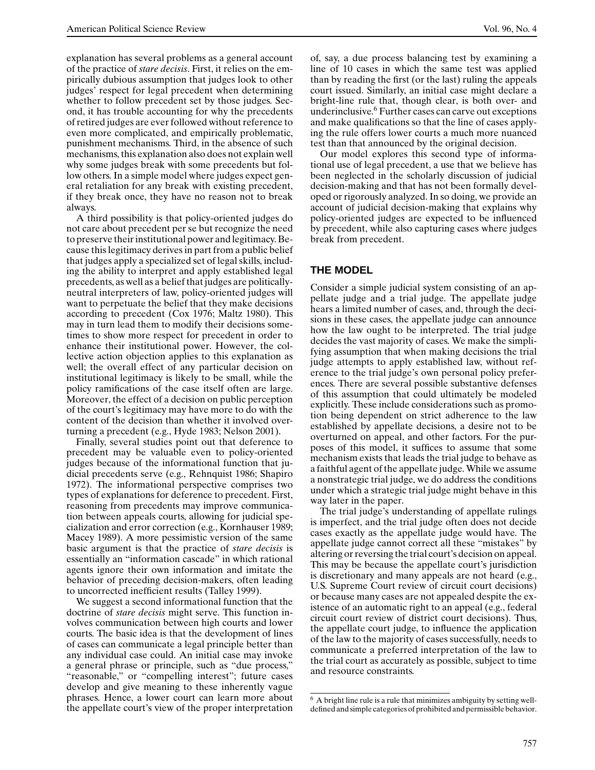explanation has several problems as a general account of the practice of *stare decisis*. First, it relies on the empirically dubious assumption that judges look to other judges' respect for legal precedent when determining whether to follow precedent set by those judges. Second, it has trouble accounting for why the precedents of retired judges are ever followed without reference to even more complicated, and empirically problematic, punishment mechanisms. Third, in the absence of such mechanisms, this explanation also does not explain well why some judges break with some precedents but follow others. In a simple model where judges expect general retaliation for any break with existing precedent, if they break once, they have no reason not to break always.

A third possibility is that policy-oriented judges do not care about precedent per se but recognize the need to preserve their institutional power and legitimacy. Because this legitimacy derives in part from a public belief that judges apply a specialized set of legal skills, including the ability to interpret and apply established legal precedents, as well as a belief that judges are politicallyneutral interpreters of law, policy-oriented judges will want to perpetuate the belief that they make decisions according to precedent (Cox 1976; Maltz 1980). This may in turn lead them to modify their decisions sometimes to show more respect for precedent in order to enhance their institutional power. However, the collective action objection applies to this explanation as well; the overall effect of any particular decision on institutional legitimacy is likely to be small, while the policy ramifications of the case itself often are large. Moreover, the effect of a decision on public perception of the court's legitimacy may have more to do with the content of the decision than whether it involved overturning a precedent (e.g., Hyde 1983; Nelson 2001).

Finally, several studies point out that deference to precedent may be valuable even to policy-oriented judges because of the informational function that judicial precedents serve (e.g., Rehnquist 1986; Shapiro 1972). The informational perspective comprises two types of explanations for deference to precedent. First, reasoning from precedents may improve communication between appeals courts, allowing for judicial specialization and error correction (e.g., Kornhauser 1989; Macey 1989). A more pessimistic version of the same basic argument is that the practice of *stare decisis* is essentially an "information cascade" in which rational agents ignore their own information and imitate the behavior of preceding decision-makers, often leading to uncorrected inefficient results (Talley 1999).

We suggest a second informational function that the doctrine of *stare decisis* might serve. This function involves communication between high courts and lower courts. The basic idea is that the development of lines of cases can communicate a legal principle better than any individual case could. An initial case may invoke a general phrase or principle, such as "due process," "reasonable," or "compelling interest"; future cases develop and give meaning to these inherently vague phrases. Hence, a lower court can learn more about the appellate court's view of the proper interpretation of, say, a due process balancing test by examining a line of 10 cases in which the same test was applied than by reading the first (or the last) ruling the appeals court issued. Similarly, an initial case might declare a bright-line rule that, though clear, is both over- and underinclusive.6 Further cases can carve out exceptions and make qualifications so that the line of cases applying the rule offers lower courts a much more nuanced test than that announced by the original decision.

Our model explores this second type of informational use of legal precedent, a use that we believe has been neglected in the scholarly discussion of judicial decision-making and that has not been formally developed or rigorously analyzed. In so doing, we provide an account of judicial decision-making that explains why policy-oriented judges are expected to be influenced by precedent, while also capturing cases where judges break from precedent.

# **THE MODEL**

Consider a simple judicial system consisting of an appellate judge and a trial judge. The appellate judge hears a limited number of cases, and, through the decisions in these cases, the appellate judge can announce how the law ought to be interpreted. The trial judge decides the vast majority of cases. We make the simplifying assumption that when making decisions the trial judge attempts to apply established law, without reference to the trial judge's own personal policy preferences. There are several possible substantive defenses of this assumption that could ultimately be modeled explicitly. These include considerations such as promotion being dependent on strict adherence to the law established by appellate decisions, a desire not to be overturned on appeal, and other factors. For the purposes of this model, it suffices to assume that some mechanism exists that leads the trial judge to behave as a faithful agent of the appellate judge. While we assume a nonstrategic trial judge, we do address the conditions under which a strategic trial judge might behave in this way later in the paper.

The trial judge's understanding of appellate rulings is imperfect, and the trial judge often does not decide cases exactly as the appellate judge would have. The appellate judge cannot correct all these "mistakes" by altering or reversing the trial court's decision on appeal. This may be because the appellate court's jurisdiction is discretionary and many appeals are not heard (e.g., U.S. Supreme Court review of circuit court decisions) or because many cases are not appealed despite the existence of an automatic right to an appeal (e.g., federal circuit court review of district court decisions). Thus, the appellate court judge, to influence the application of the law to the majority of cases successfully, needs to communicate a preferred interpretation of the law to the trial court as accurately as possible, subject to time and resource constraints.

<sup>6</sup> A bright line rule is a rule that minimizes ambiguity by setting welldefined and simple categories of prohibited and permissible behavior.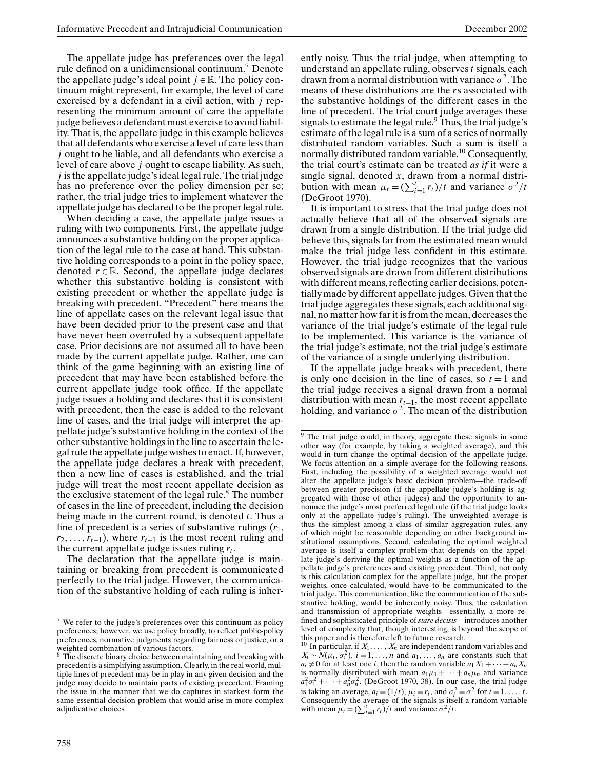The appellate judge has preferences over the legal rule defined on a unidimensional continuum.<sup>7</sup> Denote the appellate judge's ideal point  $j \in \mathbb{R}$ . The policy continuum might represent, for example, the level of care exercised by a defendant in a civil action, with *j* representing the minimum amount of care the appellate judge believes a defendant must exercise to avoid liability. That is, the appellate judge in this example believes that all defendants who exercise a level of care less than *j* ought to be liable, and all defendants who exercise a level of care above *j* ought to escape liability. As such, *j* is the appellate judge's ideal legal rule. The trial judge has no preference over the policy dimension per se; rather, the trial judge tries to implement whatever the appellate judge has declared to be the proper legal rule.

When deciding a case, the appellate judge issues a ruling with two components. First, the appellate judge announces a substantive holding on the proper application of the legal rule to the case at hand. This substantive holding corresponds to a point in the policy space, denoted  $r \in \mathbb{R}$ . Second, the appellate judge declares whether this substantive holding is consistent with existing precedent or whether the appellate judge is breaking with precedent. "Precedent" here means the line of appellate cases on the relevant legal issue that have been decided prior to the present case and that have never been overruled by a subsequent appellate case. Prior decisions are not assumed all to have been made by the current appellate judge. Rather, one can think of the game beginning with an existing line of precedent that may have been established before the current appellate judge took office. If the appellate judge issues a holding and declares that it is consistent with precedent, then the case is added to the relevant line of cases, and the trial judge will interpret the appellate judge's substantive holding in the context of the other substantive holdings in the line to ascertain the legal rule the appellate judge wishes to enact. If, however, the appellate judge declares a break with precedent, then a new line of cases is established, and the trial judge will treat the most recent appellate decision as the exclusive statement of the legal rule.<sup>8</sup> The number of cases in the line of precedent, including the decision being made in the current round, is denoted *t*. Thus a line of precedent is a series of substantive rulings  $(r_1, r_2)$  $r_2, \ldots, r_{t-1}$ ), where  $r_{t-1}$  is the most recent ruling and the current appellate judge issues ruling  $r_t$ .

The declaration that the appellate judge is maintaining or breaking from precedent is communicated perfectly to the trial judge. However, the communication of the substantive holding of each ruling is inherently noisy. Thus the trial judge, when attempting to understand an appellate ruling, observes *t* signals, each drawn from a normal distribution with variance  $\sigma^2$ . The means of these distributions are the *r*s associated with the substantive holdings of the different cases in the line of precedent. The trial court judge averages these signals to estimate the legal rule.<sup>9</sup> Thus, the trial judge's estimate of the legal rule is a sum of a series of normally distributed random variables. Such a sum is itself a normally distributed random variable.<sup>10</sup> Consequently, the trial court's estimate can be treated *as if* it were a single signal, denoted *x*, drawn from a normal distribution with mean  $\mu_t = (\sum_{i=1}^t r_t)/t$  and variance  $\sigma^2/t$ (DeGroot 1970).

It is important to stress that the trial judge does not actually believe that all of the observed signals are drawn from a single distribution. If the trial judge did believe this, signals far from the estimated mean would make the trial judge less confident in this estimate. However, the trial judge recognizes that the various observed signals are drawn from different distributions with different means, reflecting earlier decisions, potentially made by different appellate judges. Given that the trial judge aggregates these signals, each additional signal, no matter how far it is from the mean, decreases the variance of the trial judge's estimate of the legal rule to be implemented. This variance is the variance of the trial judge's estimate, not the trial judge's estimate of the variance of a single underlying distribution.

If the appellate judge breaks with precedent, there is only one decision in the line of cases, so  $t = 1$  and the trial judge receives a signal drawn from a normal distribution with mean  $r_{t=1}$ , the most recent appellate holding, and variance  $\sigma^2$ . The mean of the distribution

<sup>7</sup> We refer to the judge's preferences over this continuum as policy preferences; however, we use policy broadly, to reflect public-policy preferences, normative judgments regarding fairness or justice, or a weighted combination of various factors.

<sup>8</sup> The discrete binary choice between maintaining and breaking with precedent is a simplifying assumption. Clearly, in the real world, multiple lines of precedent may be in play in any given decision and the judge may decide to maintain parts of existing precedent. Framing the issue in the manner that we do captures in starkest form the same essential decision problem that would arise in more complex adjudicative choices.

<sup>&</sup>lt;sup>9</sup> The trial judge could, in theory, aggregate these signals in some other way (for example, by taking a weighted average), and this would in turn change the optimal decision of the appellate judge. We focus attention on a simple average for the following reasons. First, including the possibility of a weighted average would not alter the appellate judge's basic decision problem—the trade-off between greater precision (if the appellate judge's holding is aggregated with those of other judges) and the opportunity to announce the judge's most preferred legal rule (if the trial judge looks only at the appellate judge's ruling). The unweighted average is thus the simplest among a class of similar aggregation rules, any of which might be reasonable depending on other background institutional assumptions. Second, calculating the optimal weighted average is itself a complex problem that depends on the appellate judge's deriving the optimal weights as a function of the appellate judge's preferences and existing precedent. Third, not only is this calculation complex for the appellate judge, but the proper weights, once calculated, would have to be communicated to the trial judge. This communication, like the communication of the substantive holding, would be inherently noisy. Thus, the calculation and transmission of appropriate weights—essentially, a more refined and sophisticated principle of*stare decisis*—introduces another level of complexity that, though interesting, is beyond the scope of this paper and is therefore left to future research.

<sup>&</sup>lt;sup>10</sup> In particular, if  $X_1, \ldots, X_n$  are independent random variables and  $X_i \sim N(\mu_i, \sigma_i^2)$ ,  $i = 1, \ldots, n$  and  $a_1, \ldots, a_n$  are constants such that  $a_i \neq 0$  for at least one *i*, then the random variable  $a_1 X_1 + \cdots + a_n X_n$ is normally distributed with mean  $a_1\mu_1 + \cdots + a_n\mu_n$  and variance  $a_1^2 \sigma_1^2 + \cdots + a_n^2 \sigma_n^2$ . (DeGroot 1970, 38). In our case, the trial judge is taking an average,  $a_i = (1/t)$ ,  $\mu_i = r_i$ , and  $\sigma_i^2 = \sigma^2$  for  $i = 1, ..., t$ . Consequently the average of the signals is itself a random variable with mean  $\mu_t = (\sum_{i=1}^t r_t)/t$  and variance  $\sigma^2/t$ .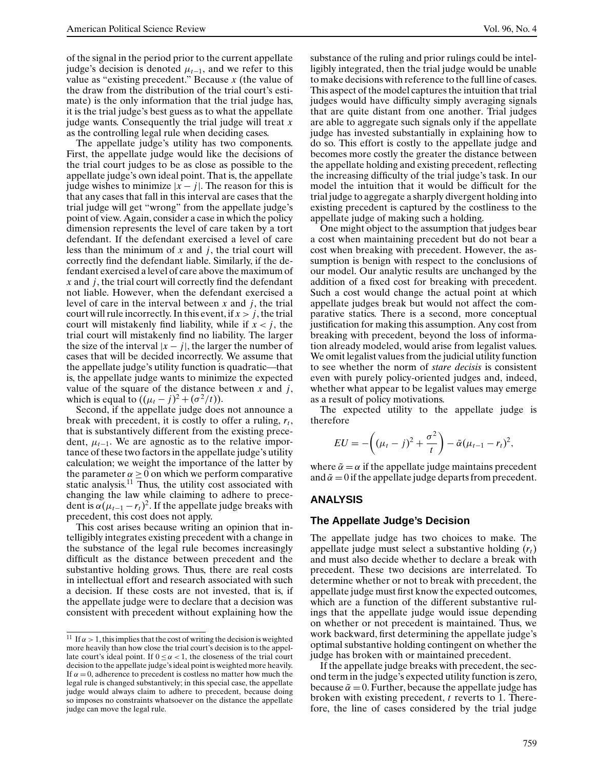of the signal in the period prior to the current appellate judge's decision is denoted µ*t*<sup>−</sup>1, and we refer to this value as "existing precedent." Because *x* (the value of the draw from the distribution of the trial court's estimate) is the only information that the trial judge has, it is the trial judge's best guess as to what the appellate judge wants. Consequently the trial judge will treat *x* as the controlling legal rule when deciding cases.

The appellate judge's utility has two components. First, the appellate judge would like the decisions of the trial court judges to be as close as possible to the appellate judge's own ideal point. That is, the appellate judge wishes to minimize  $|x - j|$ . The reason for this is that any cases that fall in this interval are cases that the trial judge will get "wrong" from the appellate judge's point of view. Again, consider a case in which the policy dimension represents the level of care taken by a tort defendant. If the defendant exercised a level of care less than the minimum of *x* and *j*, the trial court will correctly find the defendant liable. Similarly, if the defendant exercised a level of care above the maximum of *x* and *j*, the trial court will correctly find the defendant not liable. However, when the defendant exercised a level of care in the interval between *x* and *j*, the trial court will rule incorrectly. In this event, if  $x > j$ , the trial court will mistakenly find liability, while if  $x < j$ , the trial court will mistakenly find no liability. The larger the size of the interval  $|x - j|$ , the larger the number of cases that will be decided incorrectly. We assume that the appellate judge's utility function is quadratic—that is, the appellate judge wants to minimize the expected value of the square of the distance between *x* and *j*, which is equal to  $((\mu_t - j)^2 + (\sigma^2/t)).$ 

Second, if the appellate judge does not announce a break with precedent, it is costly to offer a ruling,  $r_t$ , that is substantively different from the existing precedent,  $\mu_{t-1}$ . We are agnostic as to the relative importance of these two factors in the appellate judge's utility calculation; we weight the importance of the latter by the parameter  $\alpha \geq 0$  on which we perform comparative static analysis.<sup>11</sup> Thus, the utility cost associated with changing the law while claiming to adhere to precedent is  $\alpha(\mu_{t-1} - r_t)^2$ . If the appellate judge breaks with precedent, this cost does not apply.

This cost arises because writing an opinion that intelligibly integrates existing precedent with a change in the substance of the legal rule becomes increasingly difficult as the distance between precedent and the substantive holding grows. Thus, there are real costs in intellectual effort and research associated with such a decision. If these costs are not invested, that is, if the appellate judge were to declare that a decision was consistent with precedent without explaining how the substance of the ruling and prior rulings could be intelligibly integrated, then the trial judge would be unable to make decisions with reference to the full line of cases. This aspect of the model captures the intuition that trial judges would have difficulty simply averaging signals that are quite distant from one another. Trial judges are able to aggregate such signals only if the appellate judge has invested substantially in explaining how to do so. This effort is costly to the appellate judge and becomes more costly the greater the distance between the appellate holding and existing precedent, reflecting the increasing difficulty of the trial judge's task. In our model the intuition that it would be difficult for the trial judge to aggregate a sharply divergent holding into existing precedent is captured by the costliness to the appellate judge of making such a holding.

One might object to the assumption that judges bear a cost when maintaining precedent but do not bear a cost when breaking with precedent. However, the assumption is benign with respect to the conclusions of our model. Our analytic results are unchanged by the addition of a fixed cost for breaking with precedent. Such a cost would change the actual point at which appellate judges break but would not affect the comparative statics. There is a second, more conceptual justification for making this assumption. Any cost from breaking with precedent, beyond the loss of information already modeled, would arise from legalist values. We omit legalist values from the judicial utility function to see whether the norm of *stare decisis* is consistent even with purely policy-oriented judges and, indeed, whether what appear to be legalist values may emerge as a result of policy motivations.

The expected utility to the appellate judge is therefore

$$
EU = -\left((\mu_t - j)^2 + \frac{\sigma^2}{t}\right) - \tilde{\alpha}(\mu_{t-1} - r_t)^2,
$$

where  $\tilde{\alpha} = \alpha$  if the appellate judge maintains precedent and  $\tilde{\alpha} = 0$  if the appellate judge departs from precedent.

#### **ANALYSIS**

#### **The Appellate Judge's Decision**

The appellate judge has two choices to make. The appellate judge must select a substantive holding (*rt*) and must also decide whether to declare a break with precedent. These two decisions are interrelated. To determine whether or not to break with precedent, the appellate judge must first know the expected outcomes, which are a function of the different substantive rulings that the appellate judge would issue depending on whether or not precedent is maintained. Thus, we work backward, first determining the appellate judge's optimal substantive holding contingent on whether the judge has broken with or maintained precedent.

If the appellate judge breaks with precedent, the second term in the judge's expected utility function is zero, because  $\tilde{\alpha} = 0$ . Further, because the appellate judge has broken with existing precedent, *t* reverts to 1. Therefore, the line of cases considered by the trial judge

<sup>&</sup>lt;sup>11</sup> If  $\alpha$  > 1, this implies that the cost of writing the decision is weighted more heavily than how close the trial court's decision is to the appellate court's ideal point. If  $0 \le \alpha < 1$ , the closeness of the trial court decision to the appellate judge's ideal point is weighted more heavily. If  $\alpha = 0$ , adherence to precedent is costless no matter how much the legal rule is changed substantively; in this special case, the appellate judge would always claim to adhere to precedent, because doing so imposes no constraints whatsoever on the distance the appellate judge can move the legal rule.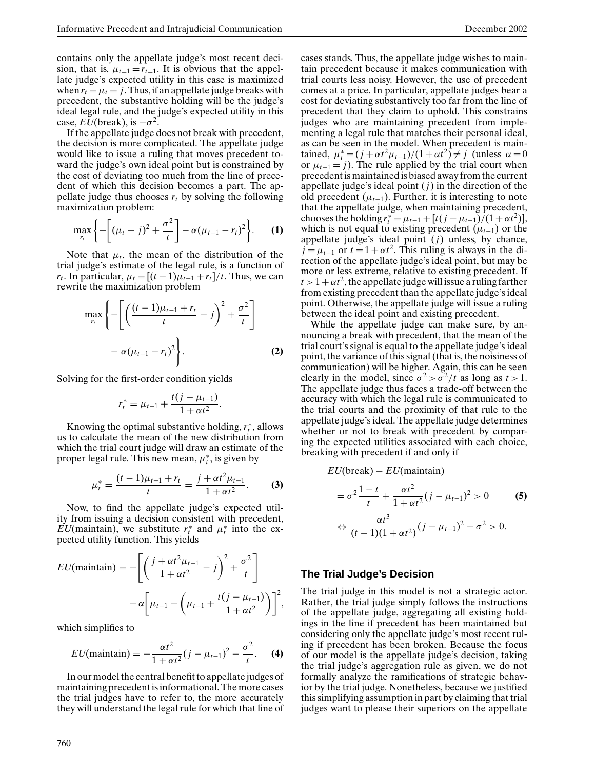contains only the appellate judge's most recent decision, that is,  $\mu_{t=1} = r_{t=1}$ . It is obvious that the appellate judge's expected utility in this case is maximized when  $r_t = \mu_t = j$ . Thus, if an appellate judge breaks with precedent, the substantive holding will be the judge's ideal legal rule, and the judge's expected utility in this case,  $EU$ (break), is  $-\sigma^2$ .

If the appellate judge does not break with precedent, the decision is more complicated. The appellate judge would like to issue a ruling that moves precedent toward the judge's own ideal point but is constrained by the cost of deviating too much from the line of precedent of which this decision becomes a part. The appellate judge thus chooses  $r_t$  by solving the following maximization problem:

$$
\max_{r_t} \left\{ - \left[ (\mu_t - j)^2 + \frac{\sigma^2}{t} \right] - \alpha (\mu_{t-1} - r_t)^2 \right\}.
$$
 (1)

Note that  $\mu_t$ , the mean of the distribution of the trial judge's estimate of the legal rule, is a function of *r<sub>t</sub>*. In particular,  $\mu_t = \frac{(t-1)\mu_{t-1} + r_t}{t}$ . Thus, we can rewrite the maximization problem

$$
\max_{r_t} \left\{ -\left[ \left( \frac{(t-1)\mu_{t-1} + r_t}{t} - j \right)^2 + \frac{\sigma^2}{t} \right] - \alpha(\mu_{t-1} - r_t)^2 \right\}.
$$
\n(2)

Solving for the first-order condition yields

$$
r_t^* = \mu_{t-1} + \frac{t(j - \mu_{t-1})}{1 + \alpha t^2}.
$$

Knowing the optimal substantive holding,  $r_t^*$ , allows us to calculate the mean of the new distribution from which the trial court judge will draw an estimate of the proper legal rule. This new mean,  $\mu_t^*$ , is given by

$$
\mu_t^* = \frac{(t-1)\mu_{t-1} + r_t}{t} = \frac{j + \alpha t^2 \mu_{t-1}}{1 + \alpha t^2}.
$$
 (3)

Now, to find the appellate judge's expected utility from issuing a decision consistent with precedent, *EU*(maintain), we substitute  $r_t^*$  and  $\mu_t^*$  into the expected utility function. This yields

$$
EU(\text{maintain}) = -\left[ \left( \frac{j + \alpha t^2 \mu_{t-1}}{1 + \alpha t^2} - j \right)^2 + \frac{\sigma^2}{t} \right] - \alpha \left[ \mu_{t-1} - \left( \mu_{t-1} + \frac{t(j - \mu_{t-1})}{1 + \alpha t^2} \right) \right]^2,
$$

which simplifies to

$$
EU(\text{maintain}) = -\frac{\alpha t^2}{1 + \alpha t^2} (j - \mu_{t-1})^2 - \frac{\sigma^2}{t}.
$$
 (4)

In our model the central benefit to appellate judges of maintaining precedent is informational. The more cases the trial judges have to refer to, the more accurately they will understand the legal rule for which that line of cases stands. Thus, the appellate judge wishes to maintain precedent because it makes communication with trial courts less noisy. However, the use of precedent comes at a price. In particular, appellate judges bear a cost for deviating substantively too far from the line of precedent that they claim to uphold. This constrains

judges who are maintaining precedent from implementing a legal rule that matches their personal ideal, as can be seen in the model. When precedent is maintained,  $\mu_t^* = (j + \alpha t^2 \mu_{t-1})/(1 + \alpha t^2) \neq j$  (unless  $\alpha = 0$ or  $\mu_{t-1} = j$ ). The rule applied by the trial court when precedent is maintained is biased away from the current appellate judge's ideal point (*j*) in the direction of the old precedent  $(\mu_{t-1})$ . Further, it is interesting to note that the appellate judge, when maintaining precedent, chooses the holding  $r_t^* = \mu_{t-1} + [t(j - \mu_{t-1})/(1 + \alpha t^2)],$ which is not equal to existing precedent  $(\mu_{t-1})$  or the appellate judge's ideal point (*j*) unless, by chance,  $j = \mu_{t-1}$  or  $t = 1 + \alpha t^2$ . This ruling is always in the direction of the appellate judge's ideal point, but may be more or less extreme, relative to existing precedent. If  $t > 1 + \alpha t^2$ , the appellate judge will issue a ruling farther from existing precedent than the appellate judge's ideal point. Otherwise, the appellate judge will issue a ruling between the ideal point and existing precedent.

While the appellate judge can make sure, by announcing a break with precedent, that the mean of the trial court's signal is equal to the appellate judge's ideal point, the variance of this signal (that is, the noisiness of communication) will be higher. Again, this can be seen clearly in the model, since  $\sigma^2 > \sigma^2/t$  as long as  $t > 1$ . The appellate judge thus faces a trade-off between the accuracy with which the legal rule is communicated to the trial courts and the proximity of that rule to the appellate judge's ideal. The appellate judge determines whether or not to break with precedent by comparing the expected utilities associated with each choice, breaking with precedent if and only if

$$
EU(\text{break}) - EU(\text{maintain})
$$
  
=  $\sigma^2 \frac{1-t}{t} + \frac{\alpha t^2}{1 + \alpha t^2} (j - \mu_{t-1})^2 > 0$  (5)  
 $\Leftrightarrow \frac{\alpha t^3}{(t-1)(1 + \alpha t^2)} (j - \mu_{t-1})^2 - \sigma^2 > 0.$ 

#### **The Trial Judge's Decision**

The trial judge in this model is not a strategic actor. Rather, the trial judge simply follows the instructions of the appellate judge, aggregating all existing holdings in the line if precedent has been maintained but considering only the appellate judge's most recent ruling if precedent has been broken. Because the focus of our model is the appellate judge's decision, taking the trial judge's aggregation rule as given, we do not formally analyze the ramifications of strategic behavior by the trial judge. Nonetheless, because we justified this simplifying assumption in part by claiming that trial judges want to please their superiors on the appellate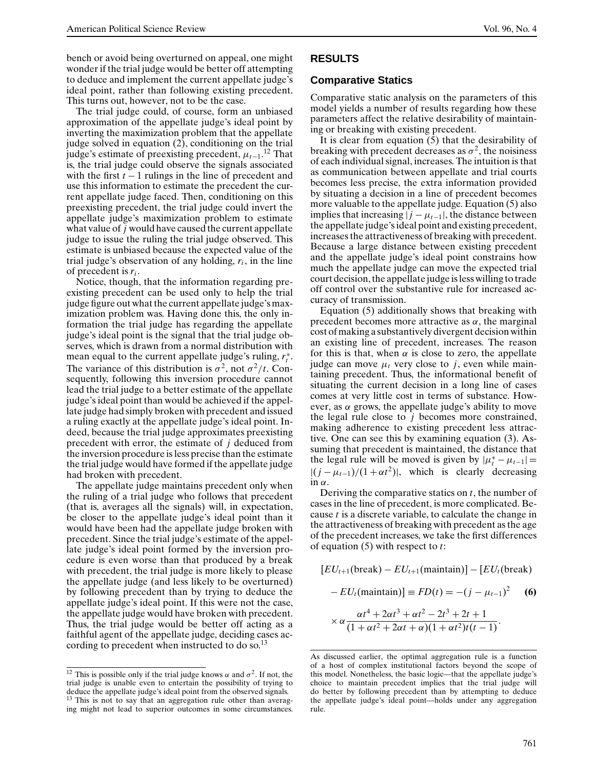bench or avoid being overturned on appeal, one might wonder if the trial judge would be better off attempting to deduce and implement the current appellate judge's ideal point, rather than following existing precedent. This turns out, however, not to be the case.

The trial judge could, of course, form an unbiased approximation of the appellate judge's ideal point by inverting the maximization problem that the appellate judge solved in equation (2), conditioning on the trial judge's estimate of preexisting precedent, µ*t*<sup>−</sup>1. <sup>12</sup> That is, the trial judge could observe the signals associated with the first  $t - 1$  rulings in the line of precedent and use this information to estimate the precedent the current appellate judge faced. Then, conditioning on this preexisting precedent, the trial judge could invert the appellate judge's maximization problem to estimate what value of *j* would have caused the current appellate judge to issue the ruling the trial judge observed. This estimate is unbiased because the expected value of the trial judge's observation of any holding,  $r_i$ , in the line of precedent is *ri* .

Notice, though, that the information regarding preexisting precedent can be used only to help the trial judge figure out what the current appellate judge's maximization problem was. Having done this, the only information the trial judge has regarding the appellate judge's ideal point is the signal that the trial judge observes, which is drawn from a normal distribution with mean equal to the current appellate judge's ruling,  $r_t^*$ . The variance of this distribution is  $\sigma^2$ , not  $\sigma^2/t$ . Consequently, following this inversion procedure cannot lead the trial judge to a better estimate of the appellate judge's ideal point than would be achieved if the appellate judge had simply broken with precedent and issued a ruling exactly at the appellate judge's ideal point. Indeed, because the trial judge approximates preexisting precedent with error, the estimate of *j* deduced from the inversion procedure is less precise than the estimate the trial judge would have formed if the appellate judge had broken with precedent.

The appellate judge maintains precedent only when the ruling of a trial judge who follows that precedent (that is, averages all the signals) will, in expectation, be closer to the appellate judge's ideal point than it would have been had the appellate judge broken with precedent. Since the trial judge's estimate of the appellate judge's ideal point formed by the inversion procedure is even worse than that produced by a break with precedent, the trial judge is more likely to please the appellate judge (and less likely to be overturned) by following precedent than by trying to deduce the appellate judge's ideal point. If this were not the case, the appellate judge would have broken with precedent. Thus, the trial judge would be better off acting as a faithful agent of the appellate judge, deciding cases according to precedent when instructed to do so.<sup>13</sup>

## **RESULTS**

#### **Comparative Statics**

Comparative static analysis on the parameters of this model yields a number of results regarding how these parameters affect the relative desirability of maintaining or breaking with existing precedent.

It is clear from equation (5) that the desirability of breaking with precedent decreases as  $\sigma^2$ , the noisiness of each individual signal, increases. The intuition is that as communication between appellate and trial courts becomes less precise, the extra information provided by situating a decision in a line of precedent becomes more valuable to the appellate judge. Equation (5) also implies that increasing  $|j - \mu_{t-1}|$ , the distance between the appellate judge's ideal point and existing precedent, increases the attractiveness of breaking with precedent. Because a large distance between existing precedent and the appellate judge's ideal point constrains how much the appellate judge can move the expected trial court decision, the appellate judge is less willing to trade off control over the substantive rule for increased accuracy of transmission.

Equation (5) additionally shows that breaking with precedent becomes more attractive as  $\alpha$ , the marginal cost of making a substantively divergent decision within an existing line of precedent, increases. The reason for this is that, when  $\alpha$  is close to zero, the appellate judge can move  $\mu_t$  very close to *j*, even while maintaining precedent. Thus, the informational benefit of situating the current decision in a long line of cases comes at very little cost in terms of substance. However, as  $\alpha$  grows, the appellate judge's ability to move the legal rule close to *j* becomes more constrained, making adherence to existing precedent less attractive. One can see this by examining equation (3). Assuming that precedent is maintained, the distance that the legal rule will be moved is given by  $|\mu_t^* - \mu_{t-1}| =$  $|((i - \mu_{t-1})/(1 + \alpha t^2))|$ , which is clearly decreasing in  $\alpha$ .

Deriving the comparative statics on *t*, the number of cases in the line of precedent, is more complicated. Because *t* is a discrete variable, to calculate the change in the attractiveness of breaking with precedent as the age of the precedent increases, we take the first differences of equation (5) with respect to *t*:

$$
[EU_{t+1}(\text{break}) - EU_{t+1}(\text{maintain})] - [EU_t(\text{break})
$$
  
- 
$$
EU_t(\text{maintain})] \equiv FD(t) = -(j - \mu_{t-1})^2
$$
 (6)  

$$
\times \alpha \frac{\alpha t^4 + 2\alpha t^3 + \alpha t^2 - 2t^3 + 2t + 1}{(1 + \alpha t^2 + 2\alpha t + \alpha)(1 + \alpha t^2)t(t - 1)}.
$$

<sup>&</sup>lt;sup>12</sup> This is possible only if the trial judge knows  $\alpha$  and  $\sigma^2$ . If not, the trial judge is unable even to entertain the possibility of trying to deduce the appellate judge's ideal point from the observed signals. <sup>13</sup> This is not to say that an aggregation rule other than averaging might not lead to superior outcomes in some circumstances.

As discussed earlier, the optimal aggregation rule is a function of a host of complex institutional factors beyond the scope of this model. Nonetheless, the basic logic—that the appellate judge's choice to maintain precedent implies that the trial judge will do better by following precedent than by attempting to deduce the appellate judge's ideal point—holds under any aggregation rule.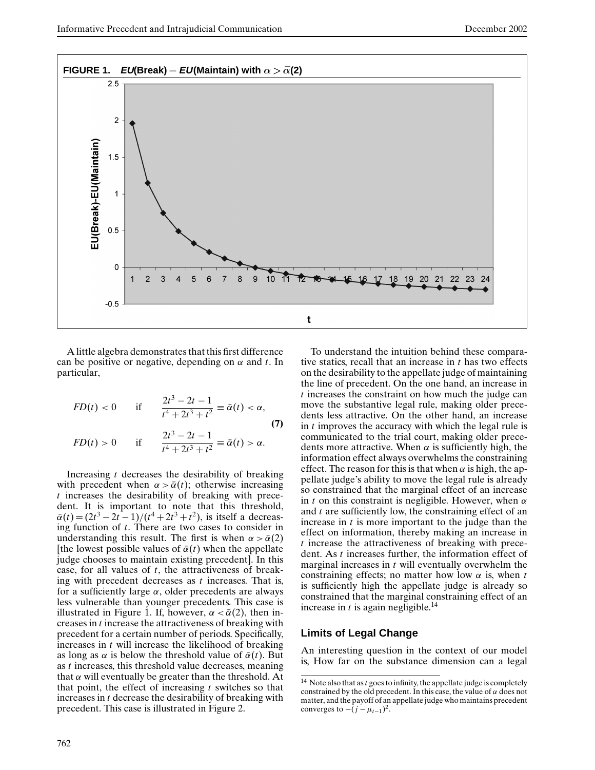

A little algebra demonstrates that this first difference can be positive or negative, depending on  $\alpha$  and  $t$ . In particular,

$$
FD(t) < 0 \t\t \text{if} \t\t \frac{2t^3 - 2t - 1}{t^4 + 2t^3 + t^2} \equiv \bar{\alpha}(t) < \alpha,
$$
\n(7)

$$
FD(t) > 0
$$
 if  $\frac{2t^3 - 2t - 1}{t^4 + 2t^3 + t^2} \equiv \bar{\alpha}(t) > \alpha.$ 

Increasing *t* decreases the desirability of breaking with precedent when  $\alpha > \bar{\alpha}(t)$ ; otherwise increasing *t* increases the desirability of breaking with precedent. It is important to note that this threshold,  $\bar{\alpha}(t) = (2t^3 - 2t - 1)/(t^4 + 2t^3 + t^2)$ , is itself a decreasing function of *t*. There are two cases to consider in understanding this result. The first is when  $\alpha > \bar{\alpha}(2)$ [the lowest possible values of  $\bar{\alpha}(t)$  when the appellate judge chooses to maintain existing precedent]. In this case, for all values of *t*, the attractiveness of breaking with precedent decreases as *t* increases. That is, for a sufficiently large  $\alpha$ , older precedents are always less vulnerable than younger precedents. This case is illustrated in Figure 1. If, however,  $\alpha < \bar{\alpha}(2)$ , then increases in *t* increase the attractiveness of breaking with precedent for a certain number of periods. Specifically, increases in *t* will increase the likelihood of breaking as long as  $\alpha$  is below the threshold value of  $\bar{\alpha}(t)$ . But as *t* increases, this threshold value decreases, meaning that  $\alpha$  will eventually be greater than the threshold. At that point, the effect of increasing *t* switches so that increases in *t* decrease the desirability of breaking with precedent. This case is illustrated in Figure 2.

To understand the intuition behind these comparative statics, recall that an increase in *t* has two effects on the desirability to the appellate judge of maintaining the line of precedent. On the one hand, an increase in *t* increases the constraint on how much the judge can move the substantive legal rule, making older precedents less attractive. On the other hand, an increase in *t* improves the accuracy with which the legal rule is communicated to the trial court, making older precedents more attractive. When  $\alpha$  is sufficiently high, the information effect always overwhelms the constraining effect. The reason for this is that when  $\alpha$  is high, the appellate judge's ability to move the legal rule is already so constrained that the marginal effect of an increase in *t* on this constraint is negligible. However, when  $\alpha$ and *t* are sufficiently low, the constraining effect of an increase in *t* is more important to the judge than the effect on information, thereby making an increase in *t* increase the attractiveness of breaking with precedent. As *t* increases further, the information effect of marginal increases in *t* will eventually overwhelm the constraining effects; no matter how low  $\alpha$  is, when  $t$ is sufficiently high the appellate judge is already so constrained that the marginal constraining effect of an increase in  $t$  is again negligible.<sup>14</sup>

#### **Limits of Legal Change**

An interesting question in the context of our model is, How far on the substance dimension can a legal

<sup>&</sup>lt;sup>14</sup> Note also that as *t* goes to infinity, the appellate judge is completely constrained by the old precedent. In this case, the value of  $\alpha$  does not matter, and the payoff of an appellate judge who maintains precedent converges to  $-(j - \mu_{t-1})^2$ .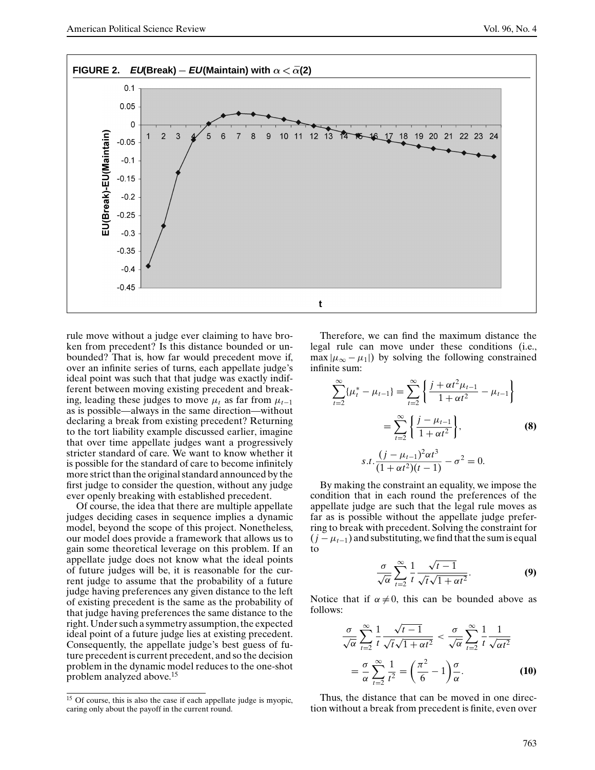

rule move without a judge ever claiming to have broken from precedent? Is this distance bounded or unbounded? That is, how far would precedent move if, over an infinite series of turns, each appellate judge's ideal point was such that that judge was exactly indifferent between moving existing precedent and breaking, leading these judges to move  $\mu_t$  as far from  $\mu_{t-1}$ as is possible—always in the same direction—without declaring a break from existing precedent? Returning to the tort liability example discussed earlier, imagine that over time appellate judges want a progressively stricter standard of care. We want to know whether it is possible for the standard of care to become infinitely more strict than the original standard announced by the first judge to consider the question, without any judge ever openly breaking with established precedent.

Of course, the idea that there are multiple appellate judges deciding cases in sequence implies a dynamic model, beyond the scope of this project. Nonetheless, our model does provide a framework that allows us to gain some theoretical leverage on this problem. If an appellate judge does not know what the ideal points of future judges will be, it is reasonable for the current judge to assume that the probability of a future judge having preferences any given distance to the left of existing precedent is the same as the probability of that judge having preferences the same distance to the right. Under such a symmetry assumption, the expected ideal point of a future judge lies at existing precedent. Consequently, the appellate judge's best guess of future precedent is current precedent, and so the decision problem in the dynamic model reduces to the one-shot problem analyzed above.<sup>15</sup>

Therefore, we can find the maximum distance the legal rule can move under these conditions (i.e.,  $max |\mu_{\infty} - \mu_1|$  by solving the following constrained infinite sum:

$$
\sum_{t=2}^{\infty} \{\mu_t^* - \mu_{t-1}\} = \sum_{t=2}^{\infty} \left\{ \frac{j + \alpha t^2 \mu_{t-1}}{1 + \alpha t^2} - \mu_{t-1} \right\}
$$

$$
= \sum_{t=2}^{\infty} \left\{ \frac{j - \mu_{t-1}}{1 + \alpha t^2} \right\},
$$
(8)  
s.t. 
$$
\frac{(j - \mu_{t-1})^2 \alpha t^3}{(1 + \alpha t^2)(t - 1)} - \sigma^2 = 0.
$$

By making the constraint an equality, we impose the condition that in each round the preferences of the appellate judge are such that the legal rule moves as far as is possible without the appellate judge preferring to break with precedent. Solving the constraint for  $(j - \mu_{t-1})$  and substituting, we find that the sum is equal to

$$
\frac{\sigma}{\sqrt{\alpha}} \sum_{t=2}^{\infty} \frac{1}{t} \frac{\sqrt{t-1}}{\sqrt{t}\sqrt{1+\alpha t^2}}.
$$
 (9)

Notice that if  $\alpha \neq 0$ , this can be bounded above as follows:

$$
\frac{\sigma}{\sqrt{\alpha}} \sum_{t=2}^{\infty} \frac{1}{t} \frac{\sqrt{t-1}}{\sqrt{t}\sqrt{1+\alpha t^2}} < \frac{\sigma}{\sqrt{\alpha}} \sum_{t=2}^{\infty} \frac{1}{t} \frac{1}{\sqrt{\alpha t^2}} \\
= \frac{\sigma}{\alpha} \sum_{t=2}^{\infty} \frac{1}{t^2} = \left(\frac{\pi^2}{6} - 1\right) \frac{\sigma}{\alpha}.\n\tag{10}
$$

Thus, the distance that can be moved in one direction without a break from precedent is finite, even over

 $\frac{15}{15}$  Of course, this is also the case if each appellate judge is myopic, caring only about the payoff in the current round.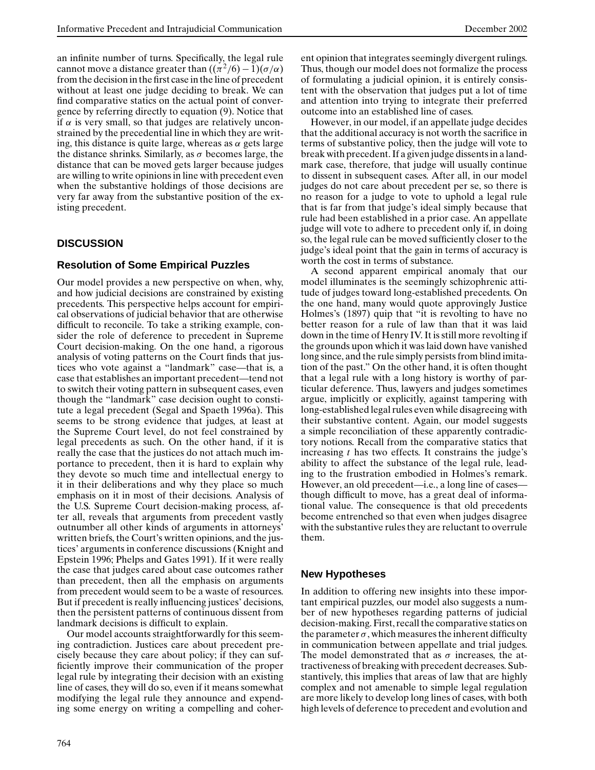an infinite number of turns. Specifically, the legal rule cannot move a distance greater than  $((\pi^2/6) - 1)(\sigma/\alpha)$ from the decision in the first case in the line of precedent without at least one judge deciding to break. We can find comparative statics on the actual point of convergence by referring directly to equation (9). Notice that if  $\alpha$  is very small, so that judges are relatively unconstrained by the precedential line in which they are writing, this distance is quite large, whereas as  $\alpha$  gets large the distance shrinks. Similarly, as  $\sigma$  becomes large, the distance that can be moved gets larger because judges are willing to write opinions in line with precedent even when the substantive holdings of those decisions are very far away from the substantive position of the existing precedent.

# **DISCUSSION**

## **Resolution of Some Empirical Puzzles**

Our model provides a new perspective on when, why, and how judicial decisions are constrained by existing precedents. This perspective helps account for empirical observations of judicial behavior that are otherwise difficult to reconcile. To take a striking example, consider the role of deference to precedent in Supreme Court decision-making. On the one hand, a rigorous analysis of voting patterns on the Court finds that justices who vote against a "landmark" case—that is, a case that establishes an important precedent—tend not to switch their voting pattern in subsequent cases, even though the "landmark" case decision ought to constitute a legal precedent (Segal and Spaeth 1996a). This seems to be strong evidence that judges, at least at the Supreme Court level, do not feel constrained by legal precedents as such. On the other hand, if it is really the case that the justices do not attach much importance to precedent, then it is hard to explain why they devote so much time and intellectual energy to it in their deliberations and why they place so much emphasis on it in most of their decisions. Analysis of the U.S. Supreme Court decision-making process, after all, reveals that arguments from precedent vastly outnumber all other kinds of arguments in attorneys' written briefs, the Court's written opinions, and the justices' arguments in conference discussions (Knight and Epstein 1996; Phelps and Gates 1991). If it were really the case that judges cared about case outcomes rather than precedent, then all the emphasis on arguments from precedent would seem to be a waste of resources. But if precedent is really influencing justices' decisions, then the persistent patterns of continuous dissent from landmark decisions is difficult to explain.

Our model accounts straightforwardly for this seeming contradiction. Justices care about precedent precisely because they care about policy; if they can sufficiently improve their communication of the proper legal rule by integrating their decision with an existing line of cases, they will do so, even if it means somewhat modifying the legal rule they announce and expending some energy on writing a compelling and coherent opinion that integrates seemingly divergent rulings. Thus, though our model does not formalize the process of formulating a judicial opinion, it is entirely consistent with the observation that judges put a lot of time and attention into trying to integrate their preferred outcome into an established line of cases.

However, in our model, if an appellate judge decides that the additional accuracy is not worth the sacrifice in terms of substantive policy, then the judge will vote to break with precedent. If a given judge dissents in a landmark case, therefore, that judge will usually continue to dissent in subsequent cases. After all, in our model judges do not care about precedent per se, so there is no reason for a judge to vote to uphold a legal rule that is far from that judge's ideal simply because that rule had been established in a prior case. An appellate judge will vote to adhere to precedent only if, in doing so, the legal rule can be moved sufficiently closer to the judge's ideal point that the gain in terms of accuracy is worth the cost in terms of substance.

A second apparent empirical anomaly that our model illuminates is the seemingly schizophrenic attitude of judges toward long-established precedents. On the one hand, many would quote approvingly Justice Holmes's (1897) quip that "it is revolting to have no better reason for a rule of law than that it was laid down in the time of Henry IV. It is still more revolting if the grounds upon which it was laid down have vanished long since, and the rule simply persists from blind imitation of the past." On the other hand, it is often thought that a legal rule with a long history is worthy of particular deference. Thus, lawyers and judges sometimes argue, implicitly or explicitly, against tampering with long-established legal rules even while disagreeing with their substantive content. Again, our model suggests a simple reconciliation of these apparently contradictory notions. Recall from the comparative statics that increasing *t* has two effects. It constrains the judge's ability to affect the substance of the legal rule, leading to the frustration embodied in Holmes's remark. However, an old precedent—i.e., a long line of cases though difficult to move, has a great deal of informational value. The consequence is that old precedents become entrenched so that even when judges disagree with the substantive rules they are reluctant to overrule them.

## **New Hypotheses**

In addition to offering new insights into these important empirical puzzles, our model also suggests a number of new hypotheses regarding patterns of judicial decision-making. First, recall the comparative statics on the parameter  $\sigma$ , which measures the inherent difficulty in communication between appellate and trial judges. The model demonstrated that as  $\sigma$  increases, the attractiveness of breaking with precedent decreases. Substantively, this implies that areas of law that are highly complex and not amenable to simple legal regulation are more likely to develop long lines of cases, with both high levels of deference to precedent and evolution and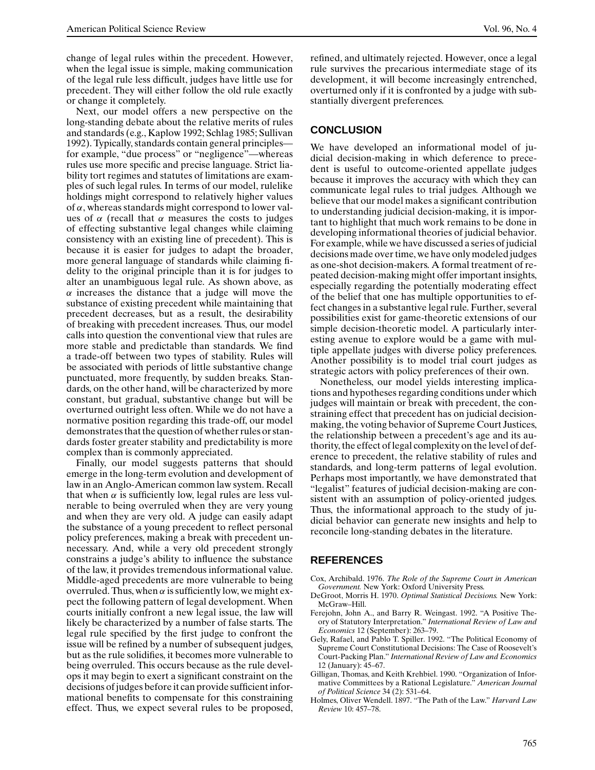change of legal rules within the precedent. However, when the legal issue is simple, making communication of the legal rule less difficult, judges have little use for precedent. They will either follow the old rule exactly or change it completely.

Next, our model offers a new perspective on the long-standing debate about the relative merits of rules and standards (e.g., Kaplow 1992; Schlag 1985; Sullivan 1992). Typically, standards contain general principles for example, "due process" or "negligence"—whereas rules use more specific and precise language. Strict liability tort regimes and statutes of limitations are examples of such legal rules. In terms of our model, rulelike holdings might correspond to relatively higher values of α, whereas standards might correspond to lower values of  $\alpha$  (recall that  $\alpha$  measures the costs to judges of effecting substantive legal changes while claiming consistency with an existing line of precedent). This is because it is easier for judges to adapt the broader, more general language of standards while claiming fidelity to the original principle than it is for judges to alter an unambiguous legal rule. As shown above, as  $\alpha$  increases the distance that a judge will move the substance of existing precedent while maintaining that precedent decreases, but as a result, the desirability of breaking with precedent increases. Thus, our model calls into question the conventional view that rules are more stable and predictable than standards. We find a trade-off between two types of stability. Rules will be associated with periods of little substantive change punctuated, more frequently, by sudden breaks. Standards, on the other hand, will be characterized by more constant, but gradual, substantive change but will be overturned outright less often. While we do not have a normative position regarding this trade-off, our model demonstrates that the question of whether rules or standards foster greater stability and predictability is more complex than is commonly appreciated.

Finally, our model suggests patterns that should emerge in the long-term evolution and development of law in an Anglo-American common law system. Recall that when  $\alpha$  is sufficiently low, legal rules are less vulnerable to being overruled when they are very young and when they are very old. A judge can easily adapt the substance of a young precedent to reflect personal policy preferences, making a break with precedent unnecessary. And, while a very old precedent strongly constrains a judge's ability to influence the substance of the law, it provides tremendous informational value. Middle-aged precedents are more vulnerable to being overruled. Thus, when  $\alpha$  is sufficiently low, we might expect the following pattern of legal development. When courts initially confront a new legal issue, the law will likely be characterized by a number of false starts. The legal rule specified by the first judge to confront the issue will be refined by a number of subsequent judges, but as the rule solidifies, it becomes more vulnerable to being overruled. This occurs because as the rule develops it may begin to exert a significant constraint on the decisions of judges before it can provide sufficient informational benefits to compensate for this constraining effect. Thus, we expect several rules to be proposed, refined, and ultimately rejected. However, once a legal rule survives the precarious intermediate stage of its development, it will become increasingly entrenched, overturned only if it is confronted by a judge with substantially divergent preferences.

### **CONCLUSION**

We have developed an informational model of judicial decision-making in which deference to precedent is useful to outcome-oriented appellate judges because it improves the accuracy with which they can communicate legal rules to trial judges. Although we believe that our model makes a significant contribution to understanding judicial decision-making, it is important to highlight that much work remains to be done in developing informational theories of judicial behavior. For example, while we have discussed a series of judicial decisions made over time, we have only modeled judges as one-shot decision-makers. A formal treatment of repeated decision-making might offer important insights, especially regarding the potentially moderating effect of the belief that one has multiple opportunities to effect changes in a substantive legal rule. Further, several possibilities exist for game-theoretic extensions of our simple decision-theoretic model. A particularly interesting avenue to explore would be a game with multiple appellate judges with diverse policy preferences. Another possibility is to model trial court judges as strategic actors with policy preferences of their own.

Nonetheless, our model yields interesting implications and hypotheses regarding conditions under which judges will maintain or break with precedent, the constraining effect that precedent has on judicial decisionmaking, the voting behavior of Supreme Court Justices, the relationship between a precedent's age and its authority, the effect of legal complexity on the level of deference to precedent, the relative stability of rules and standards, and long-term patterns of legal evolution. Perhaps most importantly, we have demonstrated that "legalist" features of judicial decision-making are consistent with an assumption of policy-oriented judges. Thus, the informational approach to the study of judicial behavior can generate new insights and help to reconcile long-standing debates in the literature.

#### **REFERENCES**

- Cox, Archibald. 1976. *The Role of the Supreme Court in American Government.* New York: Oxford University Press.
- DeGroot, Morris H. 1970. *Optimal Statistical Decisions.* New York: McGraw–Hill.
- Ferejohn, John A., and Barry R. Weingast. 1992. "A Positive Theory of Statutory Interpretation." *International Review of Law and Economics* 12 (September): 263–79.
- Gely, Rafael, and Pablo T. Spiller. 1992. "The Political Economy of Supreme Court Constitutional Decisions: The Case of Roosevelt's Court-Packing Plan." *International Review of Law and Economics* 12 (January): 45–67.
- Gilligan, Thomas, and Keith Krehbiel. 1990. "Organization of Informative Committees by a Rational Legislature." *American Journal of Political Science* 34 (2): 531–64.
- Holmes, Oliver Wendell. 1897. "The Path of the Law." *Harvard Law Review* 10: 457–78.